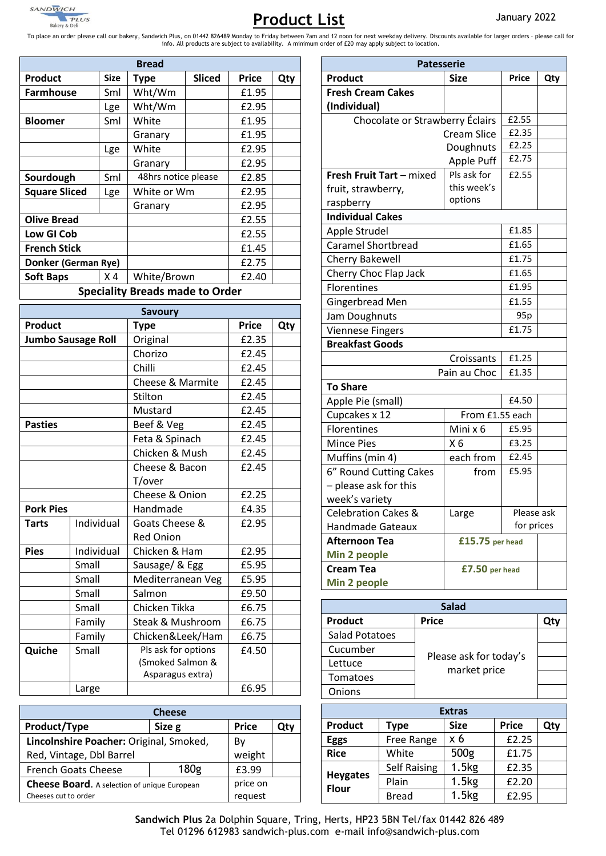

# **Product List** January 2022

bakery & Dell<br>To place an order please call our bakery, Sandwich Plus, on 01442 826489 Monday to Friday between 7am and 12 noon for next weekday delivery. Discounts available for larger orders - please call for<br>info. All

|                | £2.45        |     |                                |                         |              |                      |      |
|----------------|--------------|-----|--------------------------------|-------------------------|--------------|----------------------|------|
| ıach           | £2.45        |     | Florentines                    |                         |              | Mini x 6             | £5   |
| Mush           |              |     | <b>Mince Pies</b>              |                         |              | X <sub>6</sub>       | £3   |
|                | £2.45        |     | Muffins (min 4)                |                         |              | each from            | £    |
| acon           | £2.45        |     | 6" Round Cutting Cakes         |                         |              | from                 | £5   |
|                |              |     | - please ask for this          |                         |              |                      |      |
| nion           | £2.25        |     | week's variety                 |                         |              |                      |      |
|                | £4.35        |     | <b>Celebration Cakes &amp;</b> |                         |              | Large                | F    |
| se &           | £2.95        |     |                                | <b>Handmade Gateaux</b> |              |                      |      |
|                |              |     | <b>Afternoon Tea</b>           |                         |              | £15.75 per hea       |      |
| Am             | £2.95        |     | Min 2 people                   |                         |              |                      |      |
| Egg            | £5.95        |     | <b>Cream Tea</b>               |                         |              | £7.50 per head       |      |
| ean Veg        | £5.95        |     | Min 2 people                   |                         |              |                      |      |
|                | £9.50        |     |                                |                         |              |                      |      |
| ka             | £6.75        |     |                                |                         |              | <b>Salad</b>         |      |
| <b>ushroom</b> | £6.75        |     | <b>Product</b>                 |                         | <b>Price</b> |                      |      |
| eek/Ham        | £6.75        |     | <b>Salad Potatoes</b>          |                         |              |                      |      |
| options        | £4.50        |     | Cucumber                       |                         |              |                      |      |
| almon &        |              |     | Lettuce                        |                         |              | Please ask for today |      |
| s extra)       |              |     | Tomatoes                       |                         |              | market price         |      |
|                | £6.95        |     | Onions                         |                         |              |                      |      |
|                |              |     |                                |                         |              |                      |      |
|                |              |     |                                |                         |              | <b>Extras</b>        |      |
|                | <b>Price</b> | Qty | <b>Product</b>                 | <b>Type</b>             |              | <b>Size</b>          | Pric |
| oked,          | By           |     | <b>Eggs</b>                    | Free Range              |              | x 6                  | £2   |
|                | weight       |     | <b>Rice</b>                    | White                   |              | 500g                 | £1   |
| 80g            | £3.99        |     |                                | <b>Self Raising</b>     |              | 1.5kg                | £2   |
| naan           | nrice on     |     | <b>Heygates</b>                | Plain                   |              | 1.5kg                | £2   |

| <b>Cheese</b>                                       |          |              |     |  |  |
|-----------------------------------------------------|----------|--------------|-----|--|--|
| Product/Type                                        | Size g   | <b>Price</b> | Qtv |  |  |
| Lincolnshire Poacher: Original, Smoked,             | Bv       |              |     |  |  |
| Red, Vintage, Dbl Barrel                            |          | weight       |     |  |  |
| <b>French Goats Cheese</b>                          | 180g     | £3.99        |     |  |  |
| <b>Cheese Board.</b> A selection of unique European | price on |              |     |  |  |
| Cheeses cut to order                                | request  |              |     |  |  |

Large

| <b>Patesserie</b>               |                    |                |     |  |  |
|---------------------------------|--------------------|----------------|-----|--|--|
| Product                         | <b>Size</b>        | <b>Price</b>   | Qty |  |  |
| <b>Fresh Cream Cakes</b>        |                    |                |     |  |  |
| (Individual)                    |                    |                |     |  |  |
| Chocolate or Strawberry Éclairs |                    | £2.55          |     |  |  |
|                                 | <b>Cream Slice</b> | £2.35<br>£2.25 |     |  |  |
|                                 | Doughnuts          |                |     |  |  |
|                                 | <b>Apple Puff</b>  | £2.75          |     |  |  |
| Fresh Fruit Tart - mixed        | Pls ask for        | £2.55          |     |  |  |
| fruit, strawberry,              | this week's        |                |     |  |  |
| raspberry                       | options            |                |     |  |  |
| <b>Individual Cakes</b>         |                    |                |     |  |  |
| Apple Strudel                   |                    | £1.85          |     |  |  |
| <b>Caramel Shortbread</b>       |                    | £1.65          |     |  |  |
| <b>Cherry Bakewell</b>          |                    | £1.75          |     |  |  |
| Cherry Choc Flap Jack           |                    | £1.65          |     |  |  |
| Florentines                     |                    | £1.95          |     |  |  |
| Gingerbread Men                 |                    | £1.55          |     |  |  |
| Jam Doughnuts                   |                    | 95p            |     |  |  |
| <b>Viennese Fingers</b>         |                    | £1.75          |     |  |  |
| <b>Breakfast Goods</b>          |                    |                |     |  |  |
|                                 | Croissants         | £1.25          |     |  |  |
|                                 | Pain au Choc       | £1.35          |     |  |  |
| <b>To Share</b>                 |                    |                |     |  |  |
| Apple Pie (small)               |                    | £4.50          |     |  |  |
| Cupcakes x 12                   | From £1.55 each    |                |     |  |  |
| Florentines                     | Mini x 6           | £5.95          |     |  |  |
| <b>Mince Pies</b>               | X <sub>6</sub>     | £3.25          |     |  |  |
| Muffins (min 4)                 | each from          | £2.45          |     |  |  |
| 6" Round Cutting Cakes          | from               | £5.95          |     |  |  |
| - please ask for this           |                    |                |     |  |  |
| week's variety                  |                    |                |     |  |  |
| Celebration Cakes &             | Please ask         |                |     |  |  |
| <b>Handmade Gateaux</b>         | Large              | for prices     |     |  |  |
| Afternoon Tea                   | £15.75 per head    |                |     |  |  |
| Min 2 people                    |                    |                |     |  |  |
| <b>Cream Tea</b>                | £7.50 per head     |                |     |  |  |
| Min 2 people                    |                    |                |     |  |  |

| <b>Salad</b>   |                                        |  |  |  |
|----------------|----------------------------------------|--|--|--|
| <b>Product</b> | <b>Price</b>                           |  |  |  |
| Salad Potatoes |                                        |  |  |  |
| Cucumber       |                                        |  |  |  |
| Lettuce        | Please ask for today's<br>market price |  |  |  |
| Tomatoes       |                                        |  |  |  |
| Onions         |                                        |  |  |  |

| <b>Extras</b>                   |                     |             |              |     |  |  |
|---------------------------------|---------------------|-------------|--------------|-----|--|--|
| <b>Product</b>                  | <b>Type</b>         | <b>Size</b> | <b>Price</b> | Qty |  |  |
| <b>Eggs</b>                     | Free Range          | x 6         | £2.25        |     |  |  |
| <b>Rice</b>                     | White               | 500g        | £1.75        |     |  |  |
|                                 | <b>Self Raising</b> | 1.5kg       | £2.35        |     |  |  |
| <b>Heygates</b><br><b>Flour</b> | Plain               | 1.5kg       | £2.20        |     |  |  |
|                                 | <b>Bread</b>        | 1.5kg       | £2.95        |     |  |  |

**Sandwich Plus** 2a Dolphin Square, Tring, Herts, HP23 5BN Tel/fax 01442 826 489 Tel 01296 612983 sandwich-plus.com e-mail info@sandwich-plus.com